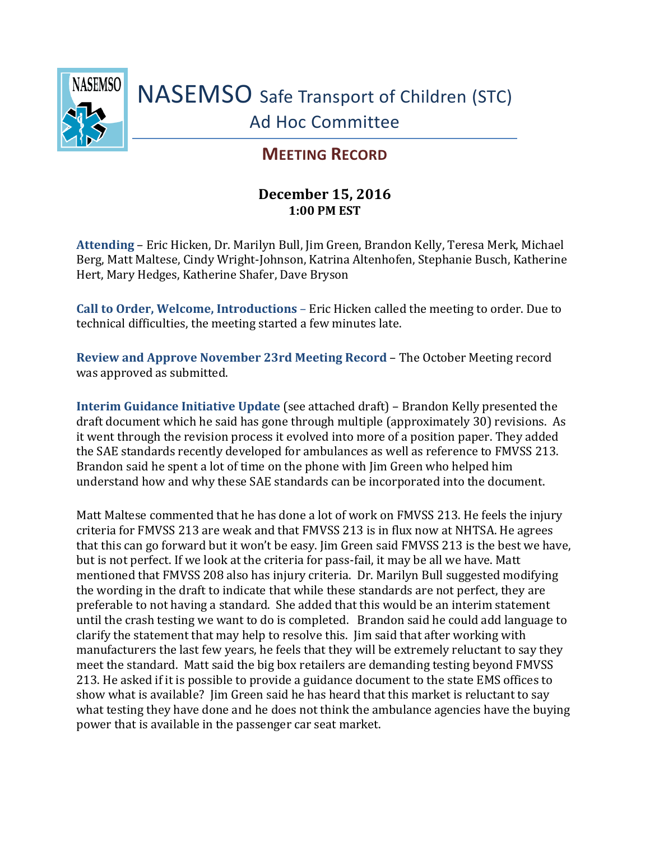

## **MEETING RECORD**

## **December 15, 2016 1:00 PM EST**

**Attending** – Eric Hicken, Dr. Marilyn Bull, Jim Green, Brandon Kelly, Teresa Merk, Michael Berg, Matt Maltese, Cindy Wright-Johnson, Katrina Altenhofen, Stephanie Busch, Katherine Hert, Mary Hedges, Katherine Shafer, Dave Bryson

**Call to Order, Welcome, Introductions** – Eric Hicken called the meeting to order. Due to technical difficulties, the meeting started a few minutes late.

**Review and Approve November 23rd Meeting Record** – The October Meeting record was approved as submitted.

**Interim Guidance Initiative Update** (see attached draft) – Brandon Kelly presented the draft document which he said has gone through multiple (approximately 30) revisions. As it went through the revision process it evolved into more of a position paper. They added the SAE standards recently developed for ambulances as well as reference to FMVSS 213. Brandon said he spent a lot of time on the phone with Jim Green who helped him understand how and why these SAE standards can be incorporated into the document.

Matt Maltese commented that he has done a lot of work on FMVSS 213. He feels the injury criteria for FMVSS 213 are weak and that FMVSS 213 is in flux now at NHTSA. He agrees that this can go forward but it won't be easy. Jim Green said FMVSS 213 is the best we have, but is not perfect. If we look at the criteria for pass-fail, it may be all we have. Matt mentioned that FMVSS 208 also has injury criteria. Dr. Marilyn Bull suggested modifying the wording in the draft to indicate that while these standards are not perfect, they are preferable to not having a standard. She added that this would be an interim statement until the crash testing we want to do is completed. Brandon said he could add language to clarify the statement that may help to resolve this. Jim said that after working with manufacturers the last few years, he feels that they will be extremely reluctant to say they meet the standard. Matt said the big box retailers are demanding testing beyond FMVSS 213. He asked if it is possible to provide a guidance document to the state EMS offices to show what is available? Jim Green said he has heard that this market is reluctant to say what testing they have done and he does not think the ambulance agencies have the buying power that is available in the passenger car seat market.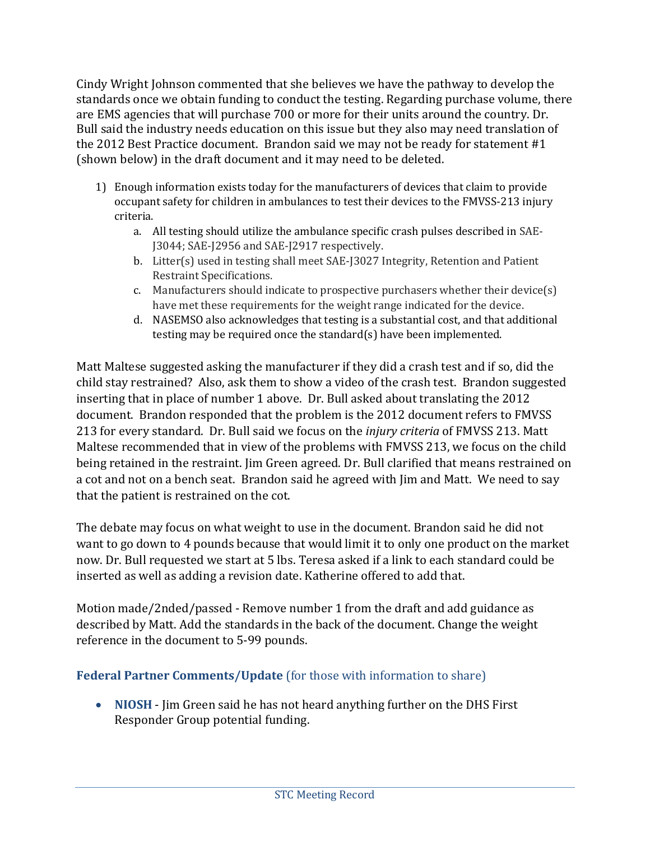Cindy Wright Johnson commented that she believes we have the pathway to develop the standards once we obtain funding to conduct the testing. Regarding purchase volume, there are EMS agencies that will purchase 700 or more for their units around the country. Dr. Bull said the industry needs education on this issue but they also may need translation of the 2012 Best Practice document. Brandon said we may not be ready for statement #1 (shown below) in the draft document and it may need to be deleted.

- 1) Enough information exists today for the manufacturers of devices that claim to provide occupant safety for children in ambulances to test their devices to the FMVSS-213 injury criteria.
	- a. All testing should utilize the ambulance specific crash pulses described in SAE-J3044; SAE-J2956 and SAE-J2917 respectively.
	- b. Litter(s) used in testing shall meet SAE-J3027 Integrity, Retention and Patient Restraint Specifications.
	- c. Manufacturers should indicate to prospective purchasers whether their device(s) have met these requirements for the weight range indicated for the device.
	- d. NASEMSO also acknowledges that testing is a substantial cost, and that additional testing may be required once the standard(s) have been implemented.

Matt Maltese suggested asking the manufacturer if they did a crash test and if so, did the child stay restrained? Also, ask them to show a video of the crash test. Brandon suggested inserting that in place of number 1 above. Dr. Bull asked about translating the 2012 document. Brandon responded that the problem is the 2012 document refers to FMVSS 213 for every standard. Dr. Bull said we focus on the *injury criteria* of FMVSS 213. Matt Maltese recommended that in view of the problems with FMVSS 213, we focus on the child being retained in the restraint. Jim Green agreed. Dr. Bull clarified that means restrained on a cot and not on a bench seat. Brandon said he agreed with Jim and Matt. We need to say that the patient is restrained on the cot.

The debate may focus on what weight to use in the document. Brandon said he did not want to go down to 4 pounds because that would limit it to only one product on the market now. Dr. Bull requested we start at 5 lbs. Teresa asked if a link to each standard could be inserted as well as adding a revision date. Katherine offered to add that.

Motion made/2nded/passed - Remove number 1 from the draft and add guidance as described by Matt. Add the standards in the back of the document. Change the weight reference in the document to 5-99 pounds.

## **Federal Partner Comments/Update** (for those with information to share)

 **NIOSH** - Jim Green said he has not heard anything further on the DHS First Responder Group potential funding.